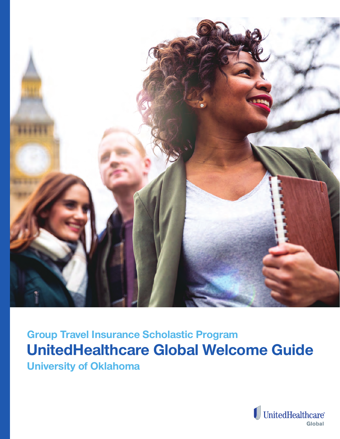

**UnitedHealthcare Global Welcome Guide Group Travel Insurance Scholastic Program University of Oklahoma**

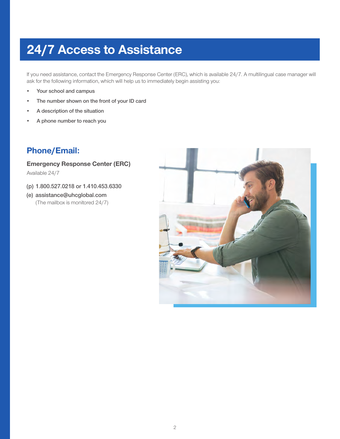# **24/7 Access to Assistance**

If you need assistance, contact the Emergency Response Center (ERC), which is available 24/7. A multilingual case manager will ask for the following information, which will help us to immediately begin assisting you:

- **• Your school and campus**
- **• The number shown on the front of your ID card**
- **• A description of the situation**
- **• A phone number to reach you**

## **Phone/Email:**

#### **Emergency Response Center (ERC)**

Available 24/7

- **(p) 1.800.527.0218 or 1.410.453.6330**
- **(e) assistance@uhcglobal.com**  (The mailbox is monitored 24/7)

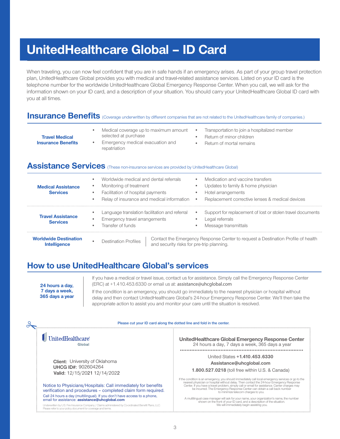# **UnitedHealthcare Global – ID Card**

When traveling, you can now feel confident that you are in safe hands if an emergency arises. As part of your group travel protection plan, UnitedHealthcare Global provides you with medical and travel-related assistance services. Listed on your ID card is the telephone number for the worldwide UnitedHealthcare Global Emergency Response Center. When you call, we will ask for the information shown on your ID card, and a description of your situation. You should carry your UnitedHealthcare Global ID card with you at all times.

## **Insurance Benefits** (Coverage underwritten by different companies that are not related to the UnitedHealthcare family of companies.)

- Medical coverage up to maximum amount selected at purchase
- Transportation to join a hospitalized member
- Return of minor children
- **Travel Medical Insurance Benefits**
- Emergency medical evacuation and repatriation
- 
- 
- Return of mortal remains

## **Assistance Services** (These non-insurance services are provided by UnitedHealthcare Global)

| <b>Medical Assistance</b><br><b>Services</b>        | Worldwide medical and dental referrals<br>Monitoring of treatment<br>Facilitation of hospital payments<br>$\bullet$<br>Relay of insurance and medical information | Medication and vaccine transfers<br>Updates to family & home physician<br>Hotel arrangements<br>Replacement corrective lenses & medical devices |
|-----------------------------------------------------|-------------------------------------------------------------------------------------------------------------------------------------------------------------------|-------------------------------------------------------------------------------------------------------------------------------------------------|
| <b>Travel Assistance</b><br><b>Services</b>         | Language translation facilitation and referral<br>Emergency travel arrangements<br>$\bullet$<br>Transfer of funds<br>$\bullet$                                    | Support for replacement of lost or stolen travel documents<br>$\bullet$<br>Legal referrals<br>Message transmittals                              |
| <b>Worldwide Destination</b><br><b>Intelligence</b> | <b>Destination Profiles</b><br>and security risks for pre-trip planning.                                                                                          | Contact the Emergency Response Center to request a Destination Profile of health                                                                |

## **How to use UnitedHealthcare Global's services**

**24 hours a day, 7 days a week, 365 days a year** If you have a medical or travel issue, contact us for assistance. Simply call the Emergency Response Center (ERC) at +1.410.453.6330 or email us at: assistance@uhcglobal.com

If the condition is an emergency, you should go immediately to the nearest physician or hospital without delay and then contact UnitedHealthcare Global's 24-hour Emergency Response Center. We'll then take the appropriate action to assist you and monitor your care until the situation is resolved.

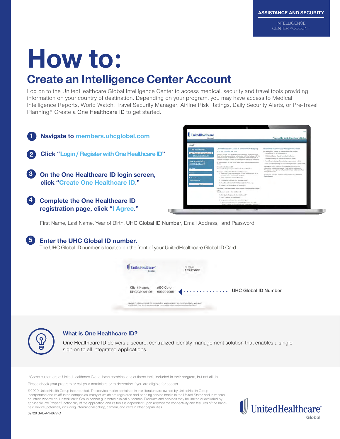# **How to:**

# **Create an Intelligence Center Account**

Log on to the UnitedHealthcare Global Intelligence Center to access medical, security and travel tools providing information on your country of destination. Depending on your program, you may have access to Medical Intelligence Reports, World Watch, Travel Security Manager, Airline Risk Ratings, Daily Security Alerts, or Pre-Travel Planning.\* Create a One Healthcare ID to get started.



First Name, Last Name, Year of Birth, UHC Global ID Number, Email Address, and Password.

#### **5 Enter the UHC Global ID number.**

The UHC Global ID number is located on the front of your UnitedHealthcare Global ID Card.





#### **What is One Healthcare ID?**

One Healthcare ID delivers a secure, centralized identity management solution that enables a single sign-on to all integrated applications.

\* Some customers of UnitedHealthcare Global have combinations of these tools included in their program, but not all do.

Please check your program or call your administrator to determine if you are eligible for access.

©2020 UnitedHealth Group Incorporated. The service marks contained in this literature are owned by UnitedHealth Group Incorporated and its affiliated companies, many of which are registered and pending service marks in the United States and in various countries worldwide. UnitedHealth Group cannot guarantee clinical outcomes. Products and services may be limited or excluded by applicable law Proper functionality of the application and its tools is dependent upon appropriate connectivity and features of the handheld device, potentially including international calling, camera, and certain other capabilities.



09/20 SAL-A-14077-C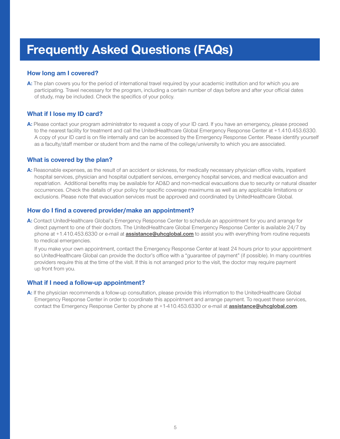# **Frequently Asked Questions (FAQs)**

#### **How long am I covered?**

**A:** The plan covers you for the period of international travel required by your academic institution and for which you are participating. Travel necessary for the program, including a certain number of days before and after your official dates of study, may be included. Check the specifics of your policy.

#### **What if I lose my ID card?**

**A:** Please contact your program administrator to request a copy of your ID card. If you have an emergency, please proceed to the nearest facility for treatment and call the UnitedHealthcare Global Emergency Response Center at +1.410.453.6330. A copy of your ID card is on file internally and can be accessed by the Emergency Response Center. Please identify yourself as a faculty/staff member or student from and the name of the college/university to which you are associated.

#### **What is covered by the plan?**

**A:** Reasonable expenses, as the result of an accident or sickness, for medically necessary physician office visits, inpatient hospital services, physician and hospital outpatient services, emergency hospital services, and medical evacuation and repatriation. Additional benefits may be available for AD&D and non-medical evacuations due to security or natural disaster occurrences. Check the details of your policy for specific coverage maximums as well as any applicable limitations or exclusions. Please note that evacuation services must be approved and coordinated by UnitedHealthcare Global.

#### **How do I find a covered provider/make an appointment?**

**A:** Contact UnitedHealthcare Global's Emergency Response Center to schedule an appointment for you and arrange for direct payment to one of their doctors. The UnitedHealthcare Global Emergency Response Center is available 24/7 by phone at +1.410.453.6330 or e-mail at **assistance@uhcglobal.com** to assist you with everything from routine requests to medical emergencies.

If you make your own appointment, contact the Emergency Response Center at least 24 hours prior to your appointment so UnitedHealthcare Global can provide the doctor's office with a "guarantee of payment" (if possible). In many countries providers require this at the time of the visit. If this is not arranged prior to the visit, the doctor may require payment up front from you.

#### **What if I need a follow-up appointment?**

**A:** If the physician recommends a follow-up consultation, please provide this information to the UnitedHealthcare Global Emergency Response Center in order to coordinate this appointment and arrange payment. To request these services, contact the Emergency Response Center by phone at +1-410.453.6330 or e-mail at **assistance@uhcglobal.com**.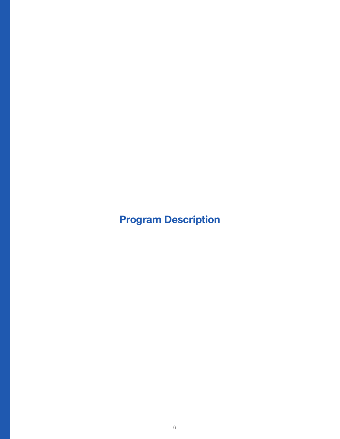**Program Description**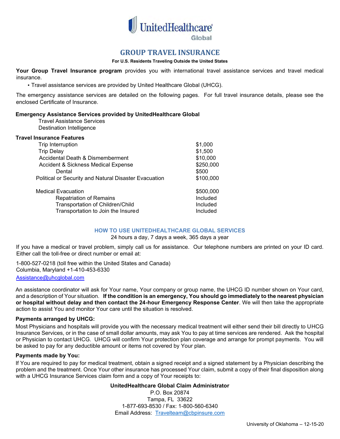

### **GROUP TRAVEL INSURANCE**

#### **For U.S. Residents Traveling Outside the United States**

**Your Group Travel Insurance program** provides you with international travel assistance services and travel medical insurance.

• Travel assistance services are provided by United Healthcare Global (UHCG).

The emergency assistance services are detailed on the following pages. For full travel insurance details, please see the enclosed Certificate of Insurance.

#### **Emergency Assistance Services provided by UnitedHealthcare Global**

Travel Assistance Services Destination Intelligence

#### **Travel Insurance Features**

| Trip Interruption                                     | \$1,000   |
|-------------------------------------------------------|-----------|
| <b>Trip Delay</b>                                     | \$1,500   |
| Accidental Death & Dismemberment                      | \$10,000  |
| Accident & Sickness Medical Expense                   | \$250,000 |
| Dental                                                | \$500     |
| Political or Security and Natural Disaster Evacuation | \$100,000 |
| <b>Medical Evacuation</b>                             | \$500,000 |
| <b>Repatriation of Remains</b>                        | Included  |
| Transportation of Children/Child                      | Included  |
| Transportation to Join the Insured                    | Included  |

#### **HOW TO USE UNITEDHEALTHCARE GLOBAL SERVICES**

#### 24 hours a day, 7 days a week, 365 days a year

If you have a medical or travel problem, simply [call us for assistance. Our t](mailto:Assistance@uhcglobal.com)elephone numbers are printed on your ID card. Either call the toll-free or direct number or email at:

1-800-527-0218 (toll free within the United States and Canada) Columbia, Maryland +1-410-453-6330 Assistance@uhcqlobal.com

An assistance coordinator will ask for Your name, Your company or group name, the UHCG ID number shown on Your card, and a description of Your situation. **If the condition is an emergency, You should go immediately to the nearest physician or hospital without delay and then contact the 24-hour Emergency Response Center**. We will then take the appropriate action to assist You and monitor Your care until the situation is resolved.

#### **Payments arranged by UHCG:**

Most Physicians and hospitals will provide you with the necessary medical treatment will either send their bill directly to UHCG Insurance Services, or in the case of small dollar amounts, may ask You to pay at time services are rendered. Ask the hospital or Physician to contact UHCG. UHCG will confirm Your protection plan coverage and arrange for prompt payments. You will be asked to pay for any deductible amount or items not covered by Your plan.

#### **Payments made by You:**

If You are required to pay for medical treatment, obtain a signed receipt and a signed statement by a Physician describing the problem and the treatment. Once Your other insurance has processed Your claim, submit a copy of their final disposition along with a UHCG Insurance Services claim form and a copy of Your receipts to:

#### **UnitedHealthcare [Global Claim Administra](mailto:Team1@cbpinsure.com)tor**

P.O. Box 20874 Tampa, FL 33622 1-877-693-8530 / Fax: 1-800-560-6340 Email Address: Travelteam@cbpinsure.com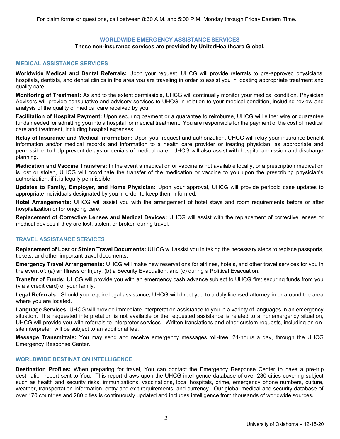#### **WORLDWIDE EMERGENCY ASSISTANCE SERVICES**

#### **These non-insurance services are provided by UnitedHealthcare Global.**

#### **MEDICAL ASSISTANCE SERVICES**

**Worldwide Medical and Dental Referrals:** Upon your request, UHCG will provide referrals to pre-approved physicians, hospitals, dentists, and dental clinics in the area you are traveling in order to assist you in locating appropriate treatment and quality care.

**Monitoring of Treatment:** As and to the extent permissible, UHCG will continually monitor your medical condition. Physician Advisors will provide consultative and advisory services to UHCG in relation to your medical condition, including review and analysis of the quality of medical care received by you.

**Facilitation of Hospital Payment:** Upon securing payment or a guarantee to reimburse, UHCG will either wire or guarantee funds needed for admitting you into a hospital for medical treatment. You are responsible for the payment of the cost of medical care and treatment, including hospital expenses.

**Relay of Insurance and Medical Information:** Upon your request and authorization, UHCG will relay your insurance benefit information and/or medical records and information to a health care provider or treating physician, as appropriate and permissible, to help prevent delays or denials of medical care. UHCG will also assist with hospital admission and discharge planning.

**Medication and Vaccine Transfers:** In the event a medication or vaccine is not available locally, or a prescription medication is lost or stolen, UHCG will coordinate the transfer of the medication or vaccine to you upon the prescribing physician's authorization, if it is legally permissible.

**Updates to Family, Employer, and Home Physician:** Upon your approval, UHCG will provide periodic case updates to appropriate individuals designated by you in order to keep them informed.

**Hotel Arrangements:** UHCG will assist you with the arrangement of hotel stays and room requirements before or after hospitalization or for ongoing care.

**Replacement of Corrective Lenses and Medical Devices:** UHCG will assist with the replacement of corrective lenses or medical devices if they are lost, stolen, or broken during travel.

#### **TRAVEL ASSISTANCE SERVICES**

**Replacement of Lost or Stolen Travel Documents:** UHCG will assist you in taking the necessary steps to replace passports, tickets, and other important travel documents.

**Emergency Travel Arrangements:** UHCG will make new reservations for airlines, hotels, and other travel services for you in the event of: (a) an Illness or Injury, (b) a Security Evacuation, and (c) during a Political Evacuation.

**Transfer of Funds:** UHCG will provide you with an emergency cash advance subject to UHCG first securing funds from you (via a credit card) or your family.

**Legal Referrals:** Should you require legal assistance, UHCG will direct you to a duly licensed attorney in or around the area where you are located.

**Language Services:** UHCG will provide immediate interpretation assistance to you in a variety of languages in an emergency situation. If a requested interpretation is not available or the requested assistance is related to a nonemergency situation, UHCG will provide you with referrals to interpreter services. Written translations and other custom requests, including an onsite interpreter, will be subject to an additional fee.

**Message Transmittals:** You may send and receive emergency messages toll-free, 24-hours a day, through the UHCG Emergency Response Center.

#### **WORLDWIDE DESTINATION INTELLIGENCE**

**Destination Profiles:** When preparing for travel, You can contact the Emergency Response Center to have a pre-trip destination report sent to You. This report draws upon the UHCG intelligence database of over 280 cities covering subject such as health and security risks, immunizations, vaccinations, local hospitals, crime, emergency phone numbers, culture, weather, transportation information, entry and exit requirements, and currency. Our global medical and security database of over 170 countries and 280 cities is continuously updated and includes intelligence from thousands of worldwide sources**.**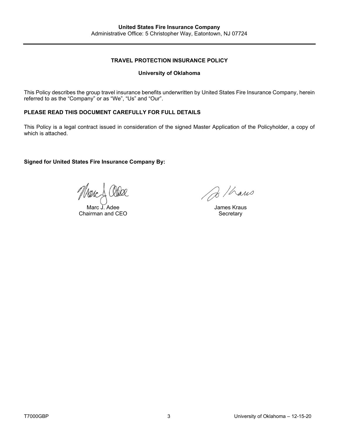#### **TRAVEL PROTECTION INSURANCE POLICY**

#### **University of Oklahoma**

This Policy describes the group travel insurance benefits underwritten by United States Fire Insurance Company, herein referred to as the "Company" or as "We", "Us" and "Our".

#### **PLEASE READ THIS DOCUMENT CAREFULLY FOR FULL DETAILS**

This Policy is a legal contract issued in consideration of the signed Master Application of the Policyholder, a copy of which is attached.

#### **Signed for United States Fire Insurance Company By:**

Marc J. Adee Chairman and CEO

B / hans

James Kraus **Secretary**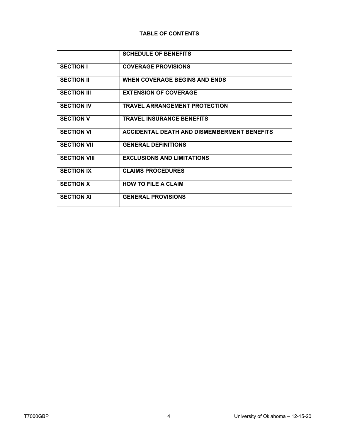#### **TABLE OF CONTENTS**

|                     | <b>SCHEDULE OF BENEFITS</b>                        |
|---------------------|----------------------------------------------------|
| <b>SECTION I</b>    | <b>COVERAGE PROVISIONS</b>                         |
| <b>SECTION II</b>   | <b>WHEN COVERAGE BEGINS AND ENDS</b>               |
| <b>SECTION III</b>  | <b>EXTENSION OF COVERAGE</b>                       |
| <b>SECTION IV</b>   | <b>TRAVEL ARRANGEMENT PROTECTION</b>               |
| <b>SECTION V</b>    | <b>TRAVEL INSURANCE BENEFITS</b>                   |
| <b>SECTION VI</b>   | <b>ACCIDENTAL DEATH AND DISMEMBERMENT BENEFITS</b> |
| <b>SECTION VII</b>  | <b>GENERAL DEFINITIONS</b>                         |
| <b>SECTION VIII</b> | <b>EXCLUSIONS AND LIMITATIONS</b>                  |
| <b>SECTION IX</b>   | <b>CLAIMS PROCEDURES</b>                           |
| <b>SECTION X</b>    | <b>HOW TO FILE A CLAIM</b>                         |
| <b>SECTION XI</b>   | <b>GENERAL PROVISIONS</b>                          |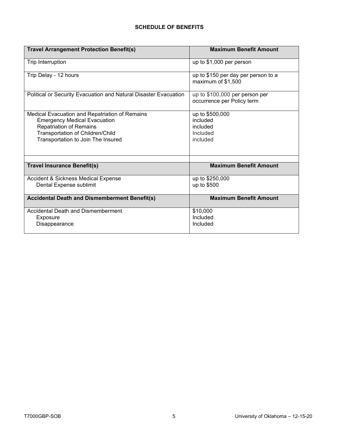#### **SCHEDULE OF BENEFITS**

| <b>Travel Arrangement Protection Benefit(s)</b>                    | <b>Maximum Benefit Amount</b>                                |
|--------------------------------------------------------------------|--------------------------------------------------------------|
| Trip Interruption                                                  | up to \$1,000 per person                                     |
| Trip Delay - 12 hours                                              | up to \$150 per day per person to a<br>maximum of \$1,500    |
| Political or Security Evacuation and Natural Disaster Evacuation   | up to \$100,000 per person per<br>occurrence per Policy term |
| Medical Evacuation and Repatriation of Remains                     | up to \$500,000                                              |
| <b>Emergency Medical Evacuation</b>                                | included                                                     |
| <b>Repatriation of Remains</b><br>Transportation of Children/Child | included<br>Included                                         |
| Transportation to Join The Insured                                 | included                                                     |
|                                                                    |                                                              |
|                                                                    |                                                              |
| <b>Travel Insurance Benefit(s)</b>                                 | <b>Maximum Benefit Amount</b>                                |
| Accident & Sickness Medical Expense                                | up to \$250,000                                              |
| Dental Expense sublimit                                            | up to \$500                                                  |
| <b>Accidental Death and Dismemberment Benefit(s)</b>               | <b>Maximum Benefit Amount</b>                                |
| Accidental Death and Dismemberment                                 | \$10,000                                                     |
| Exposure                                                           | Included                                                     |
| Disappearance                                                      | Included                                                     |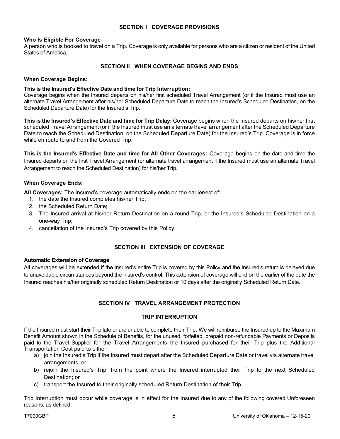#### **SECTION I COVERAGE PROVISIONS**

#### **Who Is Eligible For Coverage**

A person who is booked to travel on a Trip. Coverage is only available for persons who are a citizen or resident of the United States of America.

#### **SECTION II WHEN COVERAGE BEGINS AND ENDS**

#### **When Coverage Begins:**

#### **This is the Insured's Effective Date and time for Trip Interruption:**

Coverage begins when the Insured departs on his/her first scheduled Travel Arrangement (or if the Insured must use an alternate Travel Arrangement after his/her Scheduled Departure Date to reach the Insured's Scheduled Destination, on the Scheduled Departure Date) for the Insured's Trip.

**This is the Insured's Effective Date and time for Trip Delay:** Coverage begins when the Insured departs on his/her first scheduled Travel Arrangement (or if the Insured must use an alternate travel arrangement after the Scheduled Departure Date to reach the Scheduled Destination, on the Scheduled Departure Date) for the Insured's Trip. Coverage is in force while en route to and from the Covered Trip.

**This is the Insured's Effective Date and time for All Other Coverages:** Coverage begins on the date and time the Insured departs on the first Travel Arrangement (or alternate travel arrangement if the Insured must use an alternate Travel Arrangement to reach the Scheduled Destination) for his/her Trip.

#### **When Coverage Ends:**

**All Coverages:** The Insured's coverage automatically ends on the earlier/est of:

- 1. the date the Insured completes his/her Trip;
- 2. the Scheduled Return Date;
- 3. The Insured arrival at his/her Return Destination on a round Trip, or the Insured's Scheduled Destination on a one-way Trip;
- 4. cancellation of the Insured's Trip covered by this Policy.

#### **SECTION III EXTENSION OF COVERAGE**

#### **Automatic Extension of Coverage**

All coverages will be extended if the Insured's entire Trip is covered by this Policy and the Insured's return is delayed due to unavoidable circumstances beyond the Insured's control. This extension of coverage will end on the earlier of the date the Insured reaches his/her originally scheduled Return Destination or 10 days after the originally Scheduled Return Date.

#### **SECTION IV TRAVEL ARRANGEMENT PROTECTION**

#### **TRIP INTERRUPTION**

If the Insured must start their Trip late or are unable to complete their Trip, We will reimburse the Insured up to the Maximum Benefit Amount shown in the Schedule of Benefits, for the unused, forfeited, prepaid non-refundable Payments or Deposits paid to the Travel Supplier for the Travel Arrangements the Insured purchased for their Trip plus the Additional Transportation Cost paid to either:

- a) join the Insured's Trip if the Insured must depart after the Scheduled Departure Date or travel via alternate travel arrangements; or
- b) rejoin the Insured's Trip, from the point where the Insured interrupted their Trip to the next Scheduled Destination; or
- c) transport the Insured to their originally scheduled Return Destination of their Trip,

Trip Interruption must occur while coverage is in effect for the Insured due to any of the following covered Unforeseen reasons, as defined: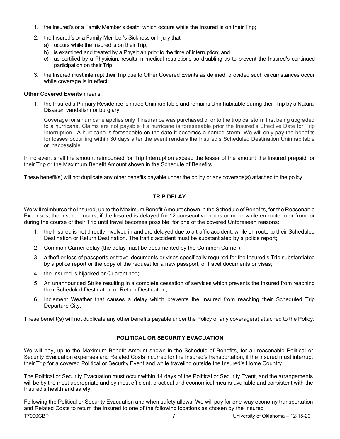- 1. the Insured's or a Family Member's death, which occurs while the Insured is on their Trip;
- 2. the Insured's or a Family Member's Sickness or Injury that:
	- a) occurs while the Insured is on their Trip,
	- b) is examined and treated by a Physician prior to the time of interruption; and
	- c) as certified by a Physician, results in medical restrictions so disabling as to prevent the Insured's continued participation on their Trip.
- 3. the Insured must interrupt their Trip due to Other Covered Events as defined, provided such circumstances occur while coverage is in effect:

#### **Other Covered Events** means:

1. the Insured's Primary Residence is made Uninhabitable and remains Uninhabitable during their Trip by a Natural Disaster, vandalism or burglary.

Coverage for a hurricane applies only if insurance was purchased prior to the tropical storm first being upgraded to a hurricane. Claims are not payable if a hurricane is foreseeable prior the Insured's Effective Date for Trip Interruption. A hurricane is foreseeable on the date it becomes a named storm. We will only pay the benefits for losses occurring within 30 days after the event renders the Insured's Scheduled Destination Uninhabitable or inaccessible.

In no event shall the amount reimbursed for Trip Interruption exceed the lesser of the amount the Insured prepaid for their Trip or the Maximum Benefit Amount shown in the Schedule of Benefits.

These benefit(s) will not duplicate any other benefits payable under the policy or any coverage(s) attached to the policy.

#### **TRIP DELAY**

We will reimburse the Insured, up to the Maximum Benefit Amount shown in the Schedule of Benefits, for the Reasonable Expenses, the Insured incurs, if the Insured is delayed for 12 consecutive hours or more while en route to or from, or during the course of their Trip until travel becomes possible, for one of the covered Unforeseen reasons:

- 1. the Insured is not directly involved in and are delayed due to a traffic accident, while en route to their Scheduled Destination or Return Destination. The traffic accident must be substantiated by a police report;
- 2. Common Carrier delay (the delay must be documented by the Common Carrier);
- 3. a theft or loss of passports or travel documents or visas specifically required for the Insured's Trip substantiated by a police report or the copy of the request for a new passport, or travel documents or visas;
- 4. the Insured is hijacked or Quarantined;
- 5. An unannounced Strike resulting in a complete cessation of services which prevents the Insured from reaching their Scheduled Destination or Return Destination;
- 6. Inclement Weather that causes a delay which prevents the Insured from reaching their Scheduled Trip Departure City.

These benefit(s) will not duplicate any other benefits payable under the Policy or any coverage(s) attached to the Policy.

#### **POLITICAL OR SECURITY EVACUATION**

We will pay, up to the Maximum Benefit Amount shown in the Schedule of Benefits, for all reasonable Political or Security Evacuation expenses and Related Costs incurred for the Insured's transportation, if the Insured must interrupt their Trip for a covered Political or Security Event and while traveling outside the Insured's Home Country.

The Political or Security Evacuation must occur within 14 days of the Political or Security Event, and the arrangements will be by the most appropriate and by most efficient, practical and economical means available and consistent with the Insured's health and safety.

Following the Political or Security Evacuation and when safety allows, We will pay for one-way economy transportation and Related Costs to return the Insured to one of the following locations as chosen by the Insured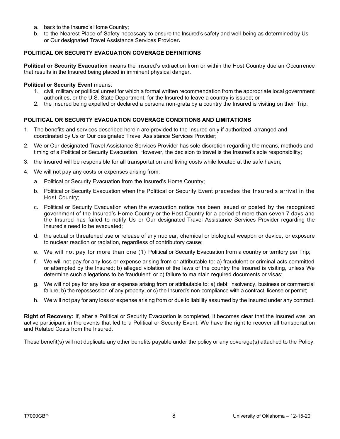- a. back to the Insured's Home Country;
- b. to the Nearest Place of Safety necessary to ensure the Insured's safety and well-being as determined by Us or Our designated Travel Assistance Services Provider.

#### **POLITICAL OR SECURITY EVACUATION COVERAGE DEFINITIONS**

**Political or Security Evacuation** means the Insured's extraction from or within the Host Country due an Occurrence that results in the Insured being placed in imminent physical danger.

#### **Political or Security Event** means:

- 1. civil, military or political unrest for which a formal written recommendation from the appropriate local government authorities, or the U.S. State Department, for the Insured to leave a country is issued; or
- 2. the Insured being expelled or declared a persona non-grata by a country the Insured is visiting on their Trip.

#### **POLITICAL OR SECURITY EVACUATION COVERAGE CONDITIONS AND LIMITATIONS**

- 1. The benefits and services described herein are provided to the Insured only if authorized, arranged and coordinated by Us or Our designated Travel Assistance Services Provider;
- 2. We or Our designated Travel Assistance Services Provider has sole discretion regarding the means, methods and timing of a Political or Security Evacuation. However, the decision to travel is the Insured's sole responsibility;
- 3. the Insured will be responsible for all transportation and living costs while located at the safe haven;
- 4. We will not pay any costs or expenses arising from:
	- a. Political or Security Evacuation from the Insured's Home Country;
	- b. Political or Security Evacuation when the Political or Security Event precedes the Insured's arrival in the Host Country;
	- c. Political or Security Evacuation when the evacuation notice has been issued or posted by the recognized government of the Insured's Home Country or the Host Country for a period of more than seven 7 days and the Insured has failed to notify Us or Our designated Travel Assistance Services Provider regarding the Insured's need to be evacuated;
	- d. the actual or threatened use or release of any nuclear, chemical or biological weapon or device, or exposure to nuclear reaction or radiation, regardless of contributory cause;
	- e. We will not pay for more than one (1) Political or Security Evacuation from a country or territory per Trip;
	- f. We will not pay for any loss or expense arising from or attributable to: a) fraudulent or criminal acts committed or attempted by the Insured; b) alleged violation of the laws of the country the Insured is visiting, unless We determine such allegations to be fraudulent; or c) failure to maintain required documents or visas;
	- g. We will not pay for any loss or expense arising from or attributable to: a) debt, insolvency, business or commercial failure; b) the repossession of any property; or c) the Insured's non-compliance with a contract, license or permit;
	- h. We will not pay for any loss or expense arising from or due to liability assumed by the Insured under any contract.

**Right of Recovery:** If, after a Political or Security Evacuation is completed, it becomes clear that the Insured was an active participant in the events that led to a Political or Security Event, We have the right to recover all transportation and Related Costs from the Insured.

These benefit(s) will not duplicate any other benefits payable under the policy or any coverage(s) attached to the Policy.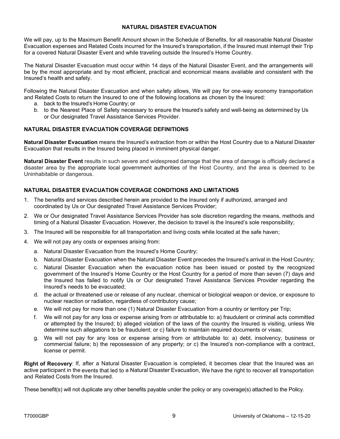#### **NATURAL DISASTER EVACUATION**

We will pay, up to the Maximum Benefit Amount shown in the Schedule of Benefits, for all reasonable Natural Disaster Evacuation expenses and Related Costs incurred for the Insured's transportation, if the Insured must interrupt their Trip for a covered Natural Disaster Event and while traveling outside the Insured's Home Country.

The Natural Disaster Evacuation must occur within 14 days of the Natural Disaster Event, and the arrangements will be by the most appropriate and by most efficient, practical and economical means available and consistent with the Insured's health and safety.

Following the Natural Disaster Evacuation and when safety allows, We will pay for one-way economy transportation and Related Costs to return the Insured to one of the following locations as chosen by the Insured:

- a. back to the Insured's Home Country; or
- b. to the Nearest Place of Safety necessary to ensure the Insured's safety and well-being as determined by Us or Our designated Travel Assistance Services Provider.

#### **NATURAL DISASTER EVACUATION COVERAGE DEFINITIONS**

**Natural Disaster Evacuation** means the Insured's extraction from or within the Host Country due to a Natural Disaster Evacuation that results in the Insured being placed in imminent physical danger.

**Natural Disaster Event** results in such severe and widespread damage that the area of damage is officially declared a disaster area by the appropriate local government authorities of the Host Country, and the area is deemed to be Uninhabitable or dangerous.

#### **NATURAL DISASTER EVACUATION COVERAGE CONDITIONS AND LIMITATIONS**

- 1. The benefits and services described herein are provided to the Insured only if authorized, arranged and coordinated by Us or Our designated Travel Assistance Services Provider;
- 2. We or Our designated Travel Assistance Services Provider has sole discretion regarding the means, methods and timing of a Natural Disaster Evacuation. However, the decision to travel is the Insured's sole responsibility;
- 3. The Insured will be responsible for all transportation and living costs while located at the safe haven;
- 4. We will not pay any costs or expenses arising from:
	- a. Natural Disaster Evacuation from the Insured's Home Country;
	- b. Natural Disaster Evacuation when the Natural Disaster Event precedes the Insured's arrival in the Host Country;
	- c. Natural Disaster Evacuation when the evacuation notice has been issued or posted by the recognized government of the Insured's Home Country or the Host Country for a period of more than seven (7) days and the Insured has failed to notify Us or Our designated Travel Assistance Services Provider regarding the Insured's needs to be evacuated;
	- d. the actual or threatened use or release of any nuclear, chemical or biological weapon or device, or exposure to nuclear reaction or radiation, regardless of contributory cause;
	- e. We will not pay for more than one (1) Natural Disaster Evacuation from a country or territory per Trip;
	- f. We will not pay for any loss or expense arising from or attributable to: a) fraudulent or criminal acts committed or attempted by the Insured; b) alleged violation of the laws of the country the Insured is visiting, unless We determine such allegations to be fraudulent; or c) failure to maintain required documents or visas;
	- g. We will not pay for any loss or expense arising from or attributable to: a) debt, insolvency, business or commercial failure; b) the repossession of any property; or c) the Insured's non-compliance with a contract, license or permit.

**Right of Recovery**: If, after a Natural Disaster Evacuation is completed, it becomes clear that the Insured was an active participant in the events that led to a Natural Disaster Evacuation, We have the right to recover all transportation and Related Costs from the Insured.

These benefit(s) will not duplicate any other benefits payable under the policy or any coverage(s) attached to the Policy.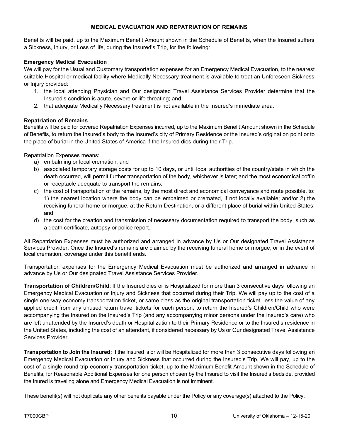#### **MEDICAL EVACUATION AND REPATRIATION OF REMAINS**

Benefits will be paid, up to the Maximum Benefit Amount shown in the Schedule of Benefits, when the Insured suffers a Sickness, Injury, or Loss of life, during the Insured's Trip, for the following:

#### **Emergency Medical Evacuation**

We will pay for the Usual and Customary transportation expenses for an Emergency Medical Evacuation, to the nearest suitable Hospital or medical facility where Medically Necessary treatment is available to treat an Unforeseen Sickness or Injury provided:

- 1. the local attending Physician and Our designated Travel Assistance Services Provider determine that the Insured's condition is acute, severe or life threating; and
- 2. that adequate Medically Necessary treatment is not available in the Insured's immediate area.

#### **Repatriation of Remains**

Benefits will be paid for covered Repatriation Expenses incurred, up to the Maximum Benefit Amount shown in the Schedule of Benefits, to return the Insured's body to the Insured's city of Primary Residence or the Insured's origination point or to the place of burial in the United States of America if the Insured dies during their Trip.

Repatriation Expenses means:

- a) embalming or local cremation; and
- b) associated temporary storage costs for up to 10 days, or until local authorities of the country/state in which the death occurred, will permit further transportation of the body, whichever is later; and the most economical coffin or receptacle adequate to transport the remains;
- c) the cost of transportation of the remains, by the most direct and economical conveyance and route possible, to: 1) the nearest location where the body can be embalmed or cremated, if not locally available; and/or 2) the receiving funeral home or morgue, at the Return Destination, or a different place of burial within United States; and
- d) the cost for the creation and transmission of necessary documentation required to transport the body, such as a death certificate, autopsy or police report.

All Repatriation Expenses must be authorized and arranged in advance by Us or Our designated Travel Assistance Services Provider. Once the Insured's remains are claimed by the receiving funeral home or morgue, or in the event of local cremation, coverage under this benefit ends.

Transportation expenses for the Emergency Medical Evacuation must be authorized and arranged in advance in advance by Us or Our designated Travel Assistance Services Provider.

**Transportation of Children/Child**: If the Insured dies or is Hospitalized for more than 3 consecutive days following an Emergency Medical Evacuation or Injury and Sickness that occurred during their Trip, We will pay up to the cost of a single one-way economy transportation ticket, or same class as the original transportation ticket, less the value of any applied credit from any unused return travel tickets for each person, to return the Insured's Children/Child who were accompanying the Insured on the Insured's Trip (and any accompanying minor persons under the Insured's care) who are left unattended by the Insured's death or Hospitalization to their Primary Residence or to the Insured's residence in the United States, including the cost of an attendant, if considered necessary by Us or Our designated Travel Assistance Services Provider.

**Transportation to Join the Insured:** If the Insured is or will be Hospitalized for more than 3 consecutive days following an Emergency Medical Evacuation or Injury and Sickness that occurred during the Insured's Trip, We will pay, up to the cost of a single round-trip economy transportation ticket, up to the Maximum Benefit Amount shown in the Schedule of Benefits, for Reasonable Additional Expenses for one person chosen by the Insured to visit the Insured's bedside, provided the Inured is traveling alone and Emergency Medical Evacuation is not imminent.

These benefit(s) will not duplicate any other benefits payable under the Policy or any coverage(s) attached to the Policy.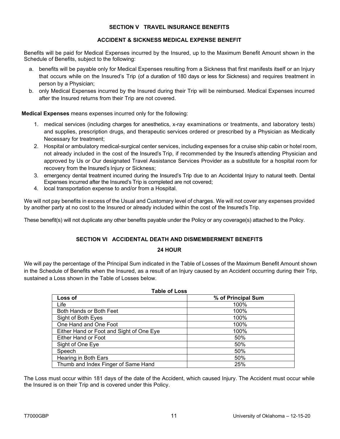#### **SECTION V TRAVEL INSURANCE BENEFITS**

#### **ACCIDENT & SICKNESS MEDICAL EXPENSE BENEFIT**

Benefits will be paid for Medical Expenses incurred by the Insured, up to the Maximum Benefit Amount shown in the Schedule of Benefits, subject to the following:

- a. benefits will be payable only for Medical Expenses resulting from a Sickness that first manifests itself or an Injury that occurs while on the Insured's Trip (of a duration of 180 days or less for Sickness) and requires treatment in person by a Physician;
- b. only Medical Expenses incurred by the Insured during their Trip will be reimbursed. Medical Expenses incurred after the Insured returns from their Trip are not covered.

**Medical Expenses** means expenses incurred only for the following:

- 1. medical services (including charges for anesthetics, x-ray examinations or treatments, and laboratory tests) and supplies, prescription drugs, and therapeutic services ordered or prescribed by a Physician as Medically Necessary for treatment;
- 2. Hospital or ambulatory medical-surgical center services, including expenses for a cruise ship cabin or hotel room, not already included in the cost of the Insured's Trip, if recommended by the Insured's attending Physician and approved by Us or Our designated Travel Assistance Services Provider as a substitute for a hospital room for recovery from the Insured's Injury or Sickness;
- 3. emergency dental treatment incurred during the Insured's Trip due to an Accidental Injury to natural teeth. Dental Expenses incurred after the Insured's Trip is completed are not covered;
- 4. local transportation expense to and/or from a Hospital.

We will not pay benefits in excess of the Usual and Customary level of charges. We will not cover any expenses provided by another party at no cost to the Insured or already included within the cost of the Insured's Trip.

These benefit(s) will not duplicate any other benefits payable under the Policy or any coverage(s) attached to the Policy.

#### **SECTION VI ACCIDENTAL DEATH AND DISMEMBERMENT BENEFITS**

#### **24 HOUR**

We will pay the percentage of the Principal Sum indicated in the Table of Losses of the Maximum Benefit Amount shown in the Schedule of Benefits when the Insured, as a result of an Injury caused by an Accident occurring during their Trip, sustained a Loss shown in the Table of Losses below.

**Table of Loss**

| l able of Loss                           |                    |  |  |
|------------------------------------------|--------------------|--|--|
| Loss of                                  | % of Principal Sum |  |  |
| Life                                     | 100%               |  |  |
| Both Hands or Both Feet                  | 100%               |  |  |
| Sight of Both Eyes                       | 100%               |  |  |
| One Hand and One Foot                    | 100%               |  |  |
| Either Hand or Foot and Sight of One Eye | 100%               |  |  |
| Either Hand or Foot                      | 50%                |  |  |
| Sight of One Eye                         | 50%                |  |  |
| Speech                                   | 50%                |  |  |
| Hearing in Both Ears                     | 50%                |  |  |
| Thumb and Index Finger of Same Hand      | 25%                |  |  |

The Loss must occur within 181 days of the date of the Accident, which caused Injury. The Accident must occur while the Insured is on their Trip and is covered under this Policy.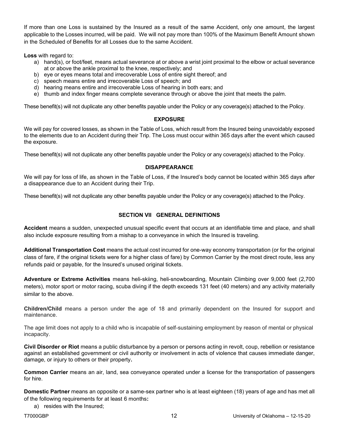If more than one Loss is sustained by the Insured as a result of the same Accident, only one amount, the largest applicable to the Losses incurred, will be paid. We will not pay more than 100% of the Maximum Benefit Amount shown in the Scheduled of Benefits for all Losses due to the same Accident.

**Loss** with regard to:

- a) hand(s), or foot/feet, means actual severance at or above a wrist joint proximal to the elbow or actual severance at or above the ankle proximal to the knee, respectively; and
- b) eye or eyes means total and irrecoverable Loss of entire sight thereof; and
- c) speech means entire and irrecoverable Loss of speech; and
- d) hearing means entire and irrecoverable Loss of hearing in both ears; and
- e) thumb and index finger means complete severance through or above the joint that meets the palm.

These benefit(s) will not duplicate any other benefits payable under the Policy or any coverage(s) attached to the Policy.

#### **EXPOSURE**

We will pay for covered losses, as shown in the Table of Loss, which result from the Insured being unavoidably exposed to the elements due to an Accident during their Trip. The Loss must occur within 365 days after the event which caused the exposure.

These benefit(s) will not duplicate any other benefits payable under the Policy or any coverage(s) attached to the Policy.

#### **DISAPPEARANCE**

We will pay for loss of life, as shown in the Table of Loss, if the Insured's body cannot be located within 365 days after a disappearance due to an Accident during their Trip.

These benefit(s) will not duplicate any other benefits payable under the Policy or any coverage(s) attached to the Policy.

#### **SECTION VII GENERAL DEFINITIONS**

**Accident** means a sudden, unexpected unusual specific event that occurs at an identifiable time and place, and shall also include exposure resulting from a mishap to a conveyance in which the Insured is traveling.

**Additional Transportation Cost** means the actual cost incurred for one-way economy transportation (or for the original class of fare, if the original tickets were for a higher class of fare) by Common Carrier by the most direct route, less any refunds paid or payable, for the Insured's unused original tickets.

**Adventure or Extreme Activities** means heli-skiing, heli-snowboarding, Mountain Climbing over 9,000 feet (2,700 meters), motor sport or motor racing, scuba diving if the depth exceeds 131 feet (40 meters) and any activity materially similar to the above.

**Children/Child** means a person under the age of 18 and primarily dependent on the Insured for support and maintenance.

The age limit does not apply to a child who is incapable of self-sustaining employment by reason of mental or physical incapacity.

**Civil Disorder or Riot** means a public disturbance by a person or persons acting in revolt, coup, rebellion or resistance against an established government or civil authority or involvement in acts of violence that causes immediate danger, damage, or injury to others or their property**.**

**Common Carrier** means an air, land, sea conveyance operated under a license for the transportation of passengers for hire.

**Domestic Partner** means an opposite or a same-sex partner who is at least eighteen (18) years of age and has met all of the following requirements for at least 6 months**:**

a) resides with the Insured;